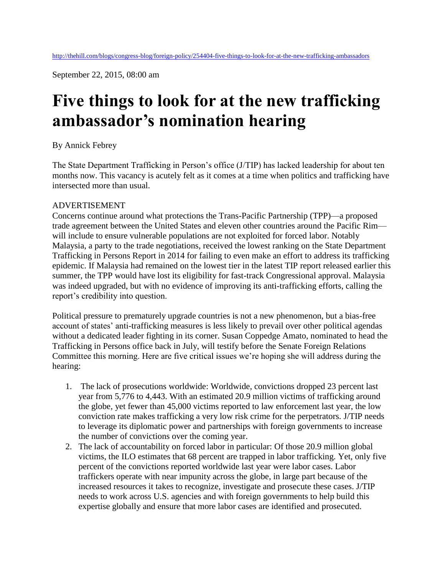September 22, 2015, 08:00 am

## **Five things to look for at the new trafficking ambassador's nomination hearing**

## By Annick Febrey

The State Department Trafficking in Person's office (J/TIP) has lacked leadership for about ten months now. This vacancy is acutely felt as it comes at a time when politics and trafficking have intersected more than usual.

## ADVERTISEMENT

Concerns continue around what protections the Trans-Pacific Partnership (TPP)—a proposed trade agreement between the United States and eleven other countries around the Pacific Rim will include to ensure vulnerable populations are not exploited for forced labor. Notably Malaysia, a party to the trade negotiations, received the lowest ranking on the State Department Trafficking in Persons Report in 2014 for failing to even make an effort to address its trafficking epidemic. If Malaysia had remained on the lowest tier in the latest TIP report released earlier this summer, the TPP would have lost its eligibility for fast-track Congressional approval. Malaysia was indeed upgraded, but with no evidence of improving its anti-trafficking efforts, calling the report's credibility into question.

Political pressure to prematurely upgrade countries is not a new phenomenon, but a bias-free account of states' anti-trafficking measures is less likely to prevail over other political agendas without a dedicated leader fighting in its corner. Susan Coppedge Amato, nominated to head the Trafficking in Persons office back in July, will testify before the Senate Foreign Relations Committee this morning. Here are five critical issues we're hoping she will address during the hearing:

- 1. The lack of prosecutions worldwide: Worldwide, convictions dropped 23 percent last year from 5,776 to 4,443. With an estimated 20.9 million victims of trafficking around the globe, yet fewer than 45,000 victims reported to law enforcement last year, the low conviction rate makes trafficking a very low risk crime for the perpetrators. J/TIP needs to leverage its diplomatic power and partnerships with foreign governments to increase the number of convictions over the coming year.
- 2. The lack of accountability on forced labor in particular: Of those 20.9 million global victims, the ILO estimates that 68 percent are trapped in labor trafficking. Yet, only five percent of the convictions reported worldwide last year were labor cases. Labor traffickers operate with near impunity across the globe, in large part because of the increased resources it takes to recognize, investigate and prosecute these cases. J/TIP needs to work across U.S. agencies and with foreign governments to help build this expertise globally and ensure that more labor cases are identified and prosecuted.